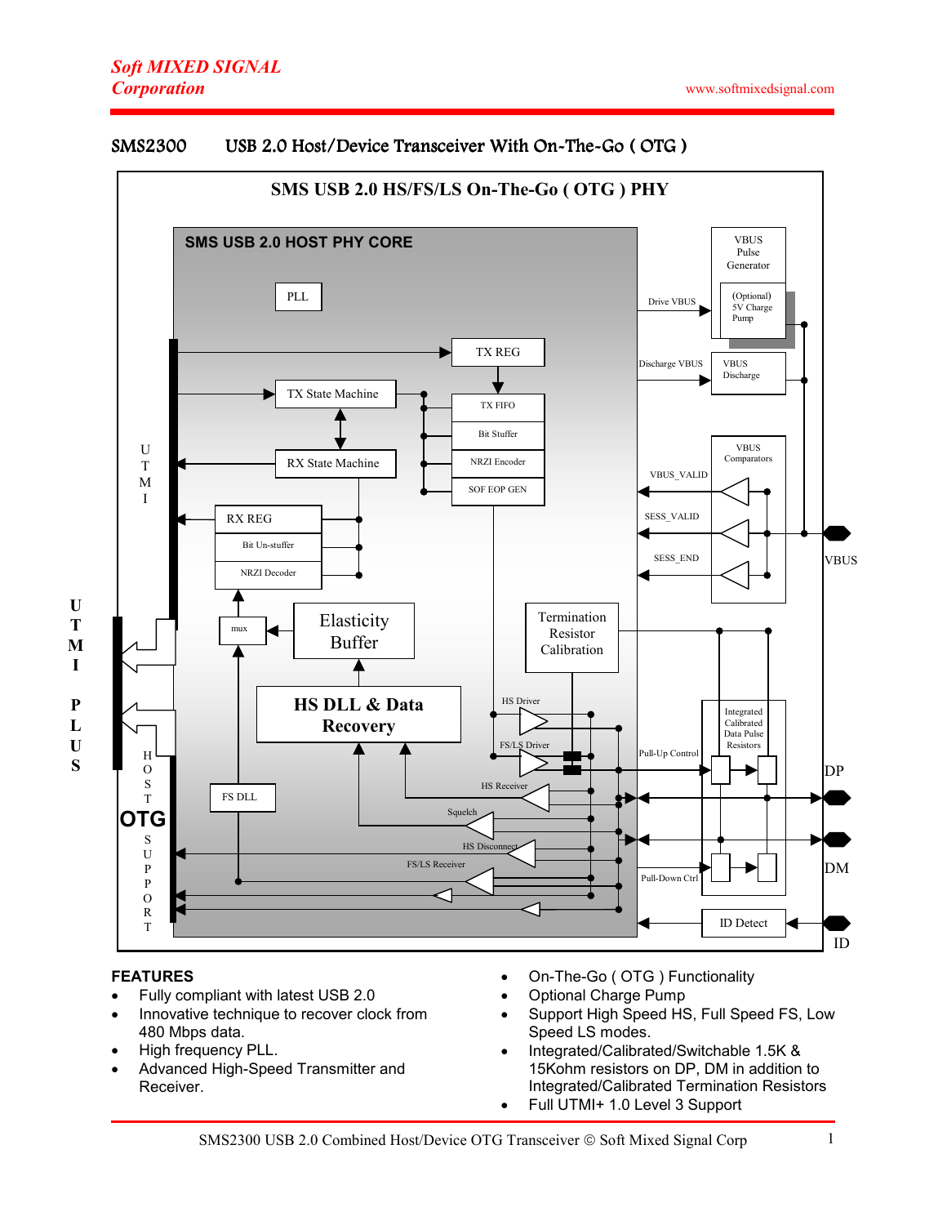# Soft MIXED SIGNAL **Corporation**



## SMS2300 USB 2.0 Host/Device Transceiver With On-The-Go (OTG)

#### FEATURES

U T M I

P L U S

- Fully compliant with latest USB 2.0
- Innovative technique to recover clock from 480 Mbps data.
- High frequency PLL.
- Advanced High-Speed Transmitter and Receiver.
- On-The-Go ( OTG ) Functionality
- Optional Charge Pump
- Support High Speed HS, Full Speed FS, Low Speed LS modes.
- Integrated/Calibrated/Switchable 1.5K & 15Kohm resistors on DP, DM in addition to Integrated/Calibrated Termination Resistors
- Full UTMI+ 1.0 Level 3 Support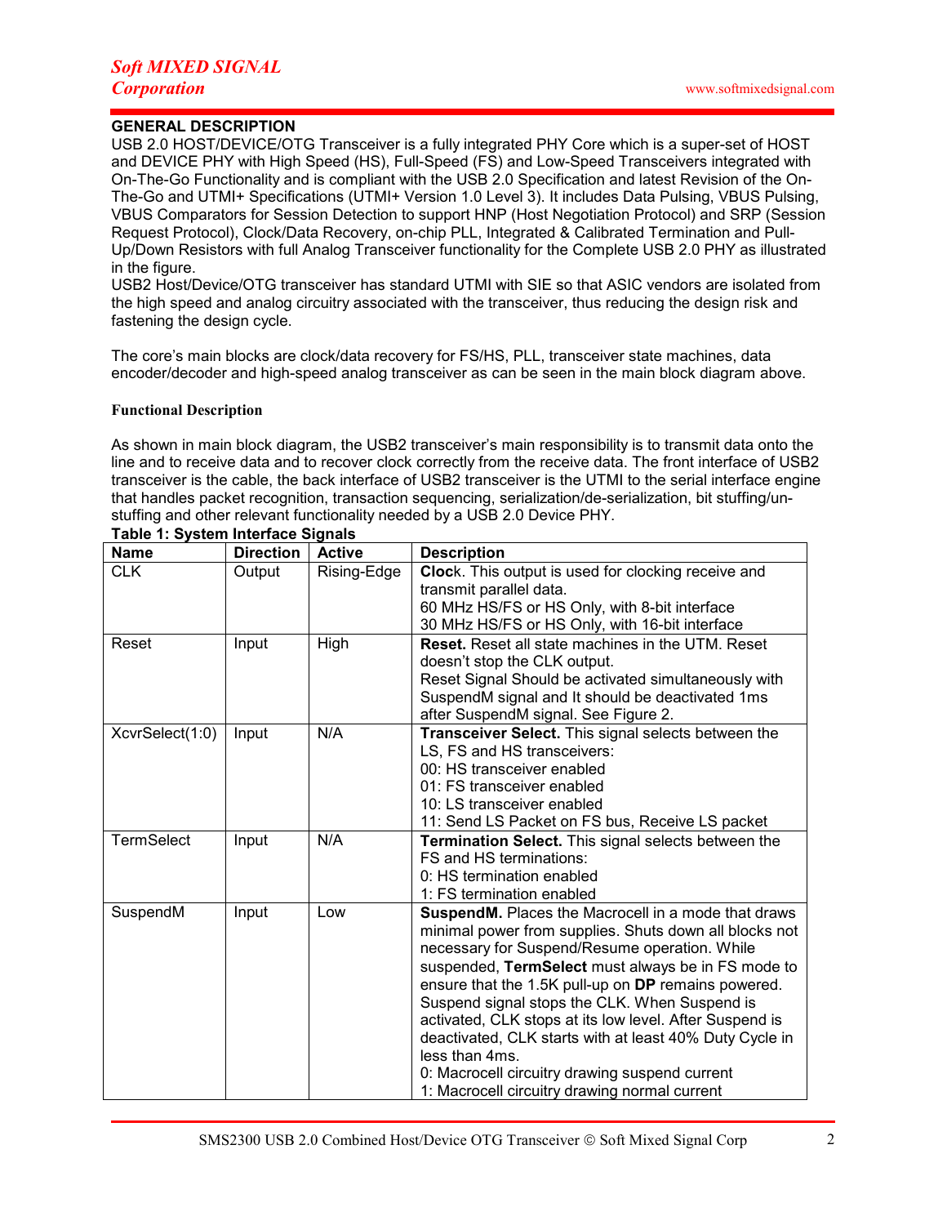## GENERAL DESCRIPTION

USB 2.0 HOST/DEVICE/OTG Transceiver is a fully integrated PHY Core which is a super-set of HOST and DEVICE PHY with High Speed (HS), Full-Speed (FS) and Low-Speed Transceivers integrated with On-The-Go Functionality and is compliant with the USB 2.0 Specification and latest Revision of the On-The-Go and UTMI+ Specifications (UTMI+ Version 1.0 Level 3). It includes Data Pulsing, VBUS Pulsing, VBUS Comparators for Session Detection to support HNP (Host Negotiation Protocol) and SRP (Session Request Protocol), Clock/Data Recovery, on-chip PLL, Integrated & Calibrated Termination and Pull-Up/Down Resistors with full Analog Transceiver functionality for the Complete USB 2.0 PHY as illustrated in the figure.

USB2 Host/Device/OTG transceiver has standard UTMI with SIE so that ASIC vendors are isolated from the high speed and analog circuitry associated with the transceiver, thus reducing the design risk and fastening the design cycle.

The core's main blocks are clock/data recovery for FS/HS, PLL, transceiver state machines, data encoder/decoder and high-speed analog transceiver as can be seen in the main block diagram above.

#### Functional Description

As shown in main block diagram, the USB2 transceiver's main responsibility is to transmit data onto the line and to receive data and to recover clock correctly from the receive data. The front interface of USB2 transceiver is the cable, the back interface of USB2 transceiver is the UTMI to the serial interface engine that handles packet recognition, transaction sequencing, serialization/de-serialization, bit stuffing/unstuffing and other relevant functionality needed by a USB 2.0 Device PHY.

| <b>Name</b>       | <b>Direction</b> | <b>Active</b> | <b>Description</b>                                       |  |  |  |
|-------------------|------------------|---------------|----------------------------------------------------------|--|--|--|
| <b>CLK</b>        | Output           | Rising-Edge   | Clock. This output is used for clocking receive and      |  |  |  |
|                   |                  |               | transmit parallel data.                                  |  |  |  |
|                   |                  |               | 60 MHz HS/FS or HS Only, with 8-bit interface            |  |  |  |
|                   |                  |               | 30 MHz HS/FS or HS Only, with 16-bit interface           |  |  |  |
| Reset             | Input            | High          | <b>Reset.</b> Reset all state machines in the UTM. Reset |  |  |  |
|                   |                  |               | doesn't stop the CLK output.                             |  |  |  |
|                   |                  |               | Reset Signal Should be activated simultaneously with     |  |  |  |
|                   |                  |               | SuspendM signal and It should be deactivated 1ms         |  |  |  |
|                   |                  |               | after SuspendM signal. See Figure 2.                     |  |  |  |
| XcvrSelect(1:0)   | Input            | N/A           | Transceiver Select. This signal selects between the      |  |  |  |
|                   |                  |               | LS, FS and HS transceivers:                              |  |  |  |
|                   |                  |               | 00: HS transceiver enabled                               |  |  |  |
|                   |                  |               | 01: FS transceiver enabled                               |  |  |  |
|                   |                  |               | 10: LS transceiver enabled                               |  |  |  |
|                   |                  |               | 11: Send LS Packet on FS bus, Receive LS packet          |  |  |  |
| <b>TermSelect</b> | Input            | N/A           | Termination Select. This signal selects between the      |  |  |  |
|                   |                  |               | FS and HS terminations:                                  |  |  |  |
|                   |                  |               | 0: HS termination enabled                                |  |  |  |
|                   |                  |               | 1: FS termination enabled                                |  |  |  |
| SuspendM          | Input            | Low           | SuspendM. Places the Macrocell in a mode that draws      |  |  |  |
|                   |                  |               | minimal power from supplies. Shuts down all blocks not   |  |  |  |
|                   |                  |               | necessary for Suspend/Resume operation. While            |  |  |  |
|                   |                  |               | suspended, TermSelect must always be in FS mode to       |  |  |  |
|                   |                  |               | ensure that the 1.5K pull-up on DP remains powered.      |  |  |  |
|                   |                  |               | Suspend signal stops the CLK. When Suspend is            |  |  |  |
|                   |                  |               | activated, CLK stops at its low level. After Suspend is  |  |  |  |
|                   |                  |               | deactivated, CLK starts with at least 40% Duty Cycle in  |  |  |  |
|                   |                  |               | less than 4ms.                                           |  |  |  |
|                   |                  |               | 0: Macrocell circuitry drawing suspend current           |  |  |  |
|                   |                  |               | 1: Macrocell circuitry drawing normal current            |  |  |  |

Table 1: System Interface Signals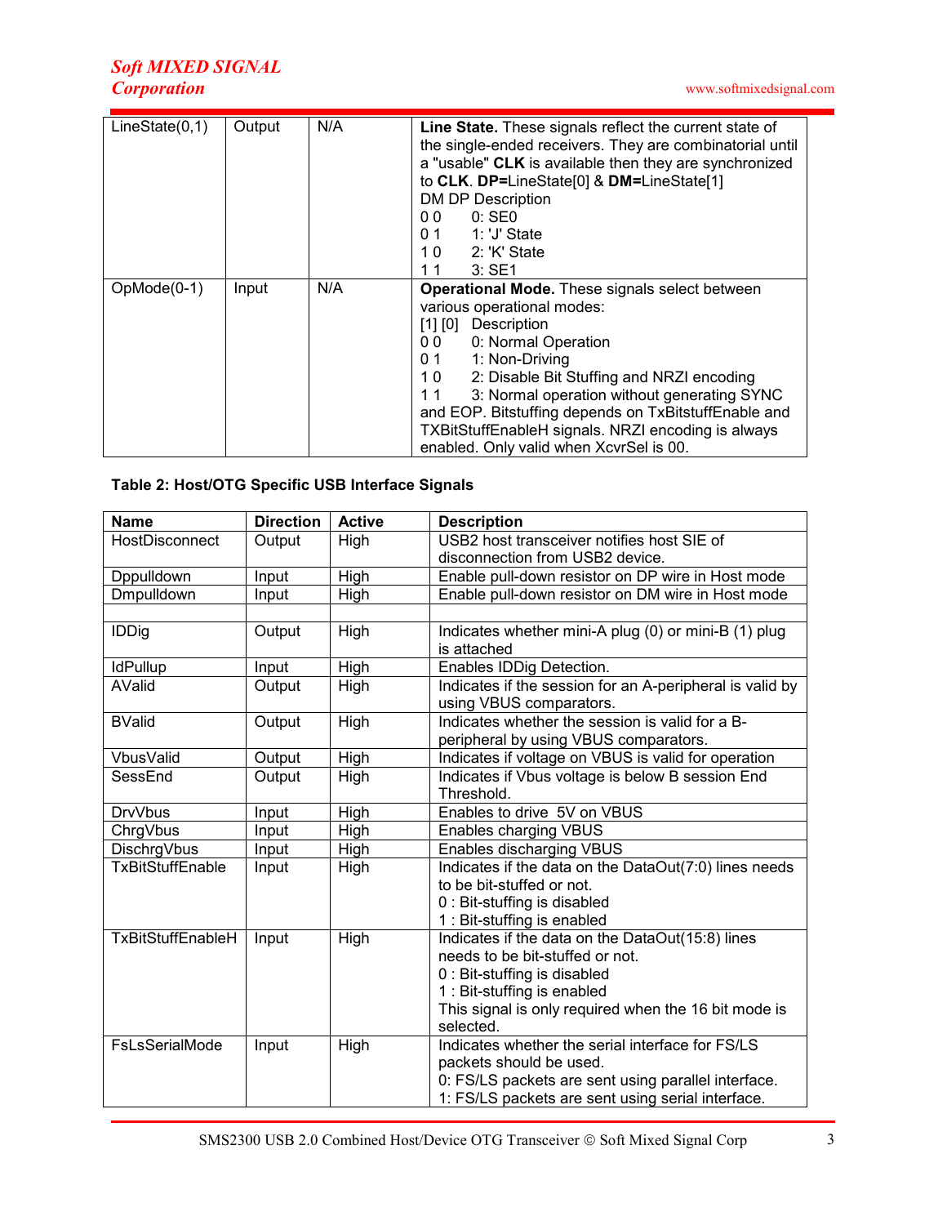| LineState(0,1) | Output | N/A | Line State. These signals reflect the current state of<br>the single-ended receivers. They are combinatorial until<br>a "usable" CLK is available then they are synchronized<br>to CLK. DP=LineState[0] & DM=LineState[1]<br><b>DM DP Description</b><br>0 <sub>0</sub><br>$0:$ SEO<br>1: 'J' State<br>0.1<br>2: 'K' State<br>10<br>3:SE1<br>11                                                                                                |  |  |  |
|----------------|--------|-----|------------------------------------------------------------------------------------------------------------------------------------------------------------------------------------------------------------------------------------------------------------------------------------------------------------------------------------------------------------------------------------------------------------------------------------------------|--|--|--|
| $OpMode(0-1)$  | Input  | N/A | Operational Mode. These signals select between<br>various operational modes:<br>$[1]$ $[0]$<br>Description<br>0: Normal Operation<br>00<br>1: Non-Driving<br>0.1<br>10 <sub>1</sub><br>2: Disable Bit Stuffing and NRZI encoding<br>3: Normal operation without generating SYNC<br>11<br>and EOP. Bitstuffing depends on TxBitstuffEnable and<br>TXBitStuffEnableH signals. NRZI encoding is always<br>enabled. Only valid when XcvrSel is 00. |  |  |  |

# Table 2: Host/OTG Specific USB Interface Signals

| <b>Name</b>                      | <b>Direction</b> | <b>Active</b> | <b>Description</b>                                          |  |  |  |  |
|----------------------------------|------------------|---------------|-------------------------------------------------------------|--|--|--|--|
| HostDisconnect<br>Output<br>High |                  |               | USB2 host transceiver notifies host SIE of                  |  |  |  |  |
|                                  |                  |               | disconnection from USB2 device.                             |  |  |  |  |
| Dppulldown                       | Input            | High          | Enable pull-down resistor on DP wire in Host mode           |  |  |  |  |
| Dmpulldown                       | Input            | High          | Enable pull-down resistor on DM wire in Host mode           |  |  |  |  |
|                                  |                  |               |                                                             |  |  |  |  |
| <b>IDDig</b>                     | Output           | High          | Indicates whether mini-A plug (0) or mini-B (1) plug        |  |  |  |  |
|                                  |                  |               | is attached                                                 |  |  |  |  |
| <b>IdPullup</b>                  | Input            | High          | Enables IDDig Detection.                                    |  |  |  |  |
| AValid                           | Output           | High          | Indicates if the session for an A-peripheral is valid by    |  |  |  |  |
|                                  |                  |               | using VBUS comparators.                                     |  |  |  |  |
| <b>BValid</b>                    | Output           | High          | Indicates whether the session is valid for a B-             |  |  |  |  |
|                                  |                  |               | peripheral by using VBUS comparators.                       |  |  |  |  |
| VbusValid                        | Output           | High          | Indicates if voltage on VBUS is valid for operation         |  |  |  |  |
| SessEnd                          | Output           | High          | Indicates if Vbus voltage is below B session End            |  |  |  |  |
|                                  |                  |               | Threshold.                                                  |  |  |  |  |
| <b>DrvVbus</b>                   | Input            | High          | Enables to drive 5V on VBUS                                 |  |  |  |  |
| ChrgVbus                         | Input            | High          | <b>Enables charging VBUS</b>                                |  |  |  |  |
| DischrgVbus                      | Input            | High          | Enables discharging VBUS                                    |  |  |  |  |
| <b>TxBitStuffEnable</b>          | High<br>Input    |               | Indicates if the data on the DataOut(7:0) lines needs       |  |  |  |  |
|                                  |                  |               | to be bit-stuffed or not.                                   |  |  |  |  |
|                                  |                  |               | 0 : Bit-stuffing is disabled                                |  |  |  |  |
|                                  |                  |               | 1 : Bit-stuffing is enabled                                 |  |  |  |  |
| <b>TxBitStuffEnableH</b>         | Input            | High          | Indicates if the data on the DataOut(15:8) lines            |  |  |  |  |
|                                  |                  |               | needs to be bit-stuffed or not.                             |  |  |  |  |
|                                  |                  |               | 0 : Bit-stuffing is disabled<br>1 : Bit-stuffing is enabled |  |  |  |  |
|                                  |                  |               | This signal is only required when the 16 bit mode is        |  |  |  |  |
|                                  |                  |               | selected.                                                   |  |  |  |  |
| FsLsSerialMode                   | Input            | High          | Indicates whether the serial interface for FS/LS            |  |  |  |  |
|                                  |                  |               | packets should be used.                                     |  |  |  |  |
|                                  |                  |               | 0: FS/LS packets are sent using parallel interface.         |  |  |  |  |
|                                  |                  |               | 1: FS/LS packets are sent using serial interface.           |  |  |  |  |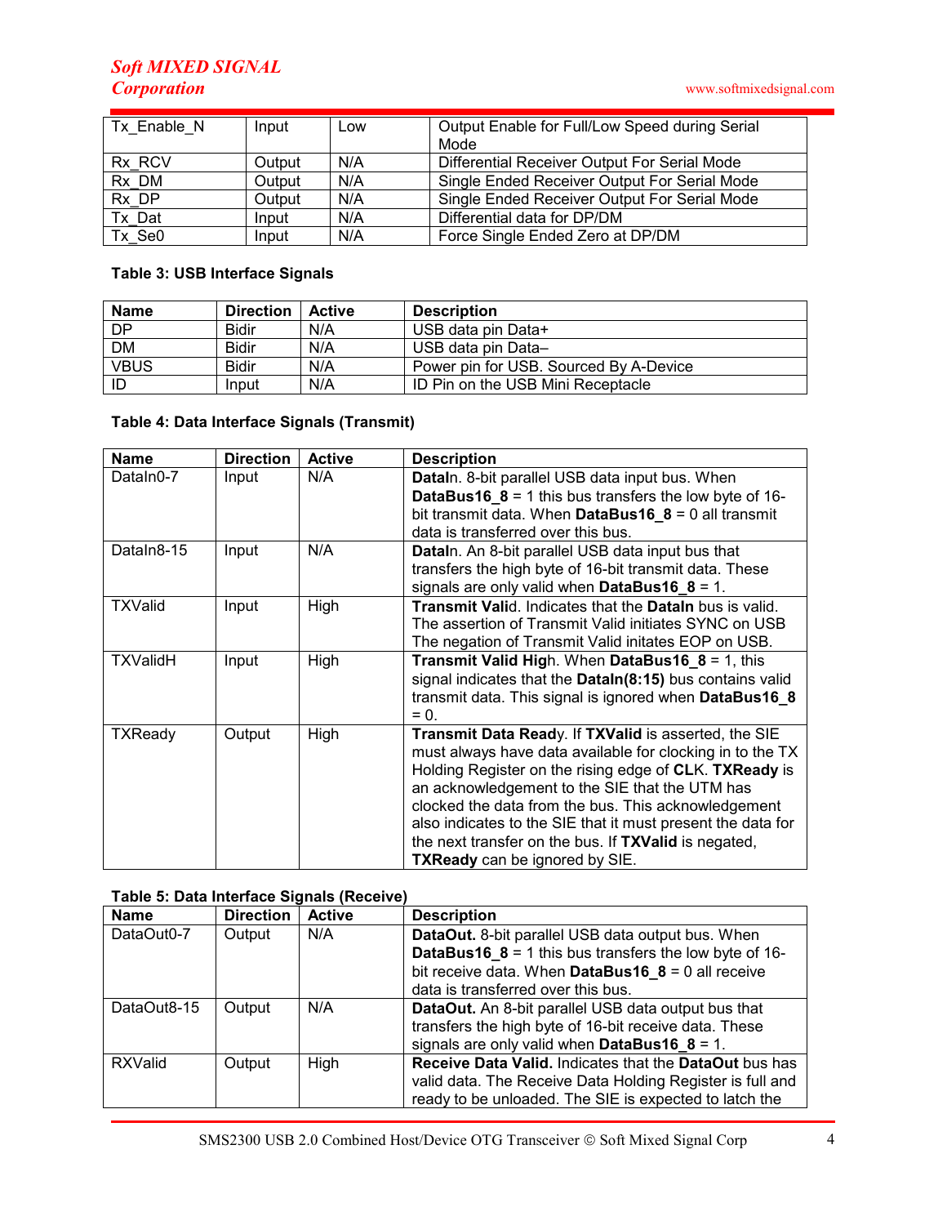# Soft MIXED SIGNAL **Corporation**

| Tx Enable N | Input  | Low | Output Enable for Full/Low Speed during Serial |  |
|-------------|--------|-----|------------------------------------------------|--|
|             |        |     | Mode                                           |  |
| Rx RCV      | Output | N/A | Differential Receiver Output For Serial Mode   |  |
| Rx_DM       | Output | N/A | Single Ended Receiver Output For Serial Mode   |  |
| Rx DP       | Output | N/A | Single Ended Receiver Output For Serial Mode   |  |
| Tx Dat      | Input  | N/A | Differential data for DP/DM                    |  |
| Tx SeO      | Input  | N/A | Force Single Ended Zero at DP/DM               |  |

# Table 3: USB Interface Signals

| <b>Name</b> | <b>Direction</b> | <b>Active</b> | <b>Description</b>                     |  |  |  |
|-------------|------------------|---------------|----------------------------------------|--|--|--|
| <b>DP</b>   | <b>Bidir</b>     | N/A           | USB data pin Data+                     |  |  |  |
| <b>DM</b>   | <b>Bidir</b>     | N/A           | USB data pin Data-                     |  |  |  |
| <b>VBUS</b> | <b>Bidir</b>     | N/A           | Power pin for USB. Sourced By A-Device |  |  |  |
| ID          | Input            | N/A           | ID Pin on the USB Mini Receptacle      |  |  |  |

## Table 4: Data Interface Signals (Transmit)

| <b>Name</b>     | <b>Direction</b> | <b>Active</b> | <b>Description</b>                                                                                                                                                                                                                                                                                                                                                                                                                            |  |  |  |
|-----------------|------------------|---------------|-----------------------------------------------------------------------------------------------------------------------------------------------------------------------------------------------------------------------------------------------------------------------------------------------------------------------------------------------------------------------------------------------------------------------------------------------|--|--|--|
| DataIn0-7       | Input            | N/A           | DataIn. 8-bit parallel USB data input bus. When<br><b>DataBus16_8</b> = 1 this bus transfers the low byte of 16-<br>bit transmit data. When DataBus16_8 = 0 all transmit<br>data is transferred over this bus.                                                                                                                                                                                                                                |  |  |  |
| DataIn8-15      | Input            | N/A           | DataIn. An 8-bit parallel USB data input bus that<br>transfers the high byte of 16-bit transmit data. These<br>signals are only valid when DataBus16_8 = 1.                                                                                                                                                                                                                                                                                   |  |  |  |
| <b>TXValid</b>  | Input            | High          | Transmit Valid. Indicates that the Datain bus is valid.<br>The assertion of Transmit Valid initiates SYNC on USB<br>The negation of Transmit Valid initates EOP on USB.                                                                                                                                                                                                                                                                       |  |  |  |
| <b>TXValidH</b> | Input            | High          | <b>Transmit Valid High. When DataBus16 8 = 1, this</b><br>signal indicates that the Dataln(8:15) bus contains valid<br>transmit data. This signal is ignored when DataBus16_8<br>$= 0.$                                                                                                                                                                                                                                                       |  |  |  |
| <b>TXReady</b>  | Output           | High          | Transmit Data Ready. If TXValid is asserted, the SIE<br>must always have data available for clocking in to the TX<br>Holding Register on the rising edge of CLK. TXReady is<br>an acknowledgement to the SIE that the UTM has<br>clocked the data from the bus. This acknowledgement<br>also indicates to the SIE that it must present the data for<br>the next transfer on the bus. If TXValid is negated,<br>TXReady can be ignored by SIE. |  |  |  |

## Table 5: Data Interface Signals (Receive)

| <b>Name</b>    | <b>Direction</b> | <b>Active</b> | <b>Description</b>                                                                                                                                                            |  |  |  |
|----------------|------------------|---------------|-------------------------------------------------------------------------------------------------------------------------------------------------------------------------------|--|--|--|
| DataOut0-7     | Output           | N/A           | DataOut. 8-bit parallel USB data output bus. When<br><b>DataBus16_8</b> = 1 this bus transfers the low byte of 16-                                                            |  |  |  |
|                |                  |               | bit receive data. When DataBus16_8 = 0 all receive<br>data is transferred over this bus.                                                                                      |  |  |  |
| DataOut8-15    | Output           | N/A           | <b>DataOut.</b> An 8-bit parallel USB data output bus that<br>transfers the high byte of 16-bit receive data. These<br>signals are only valid when DataBus16_8 = 1.           |  |  |  |
| <b>RXValid</b> | Output           | High          | Receive Data Valid. Indicates that the DataOut bus has<br>valid data. The Receive Data Holding Register is full and<br>ready to be unloaded. The SIE is expected to latch the |  |  |  |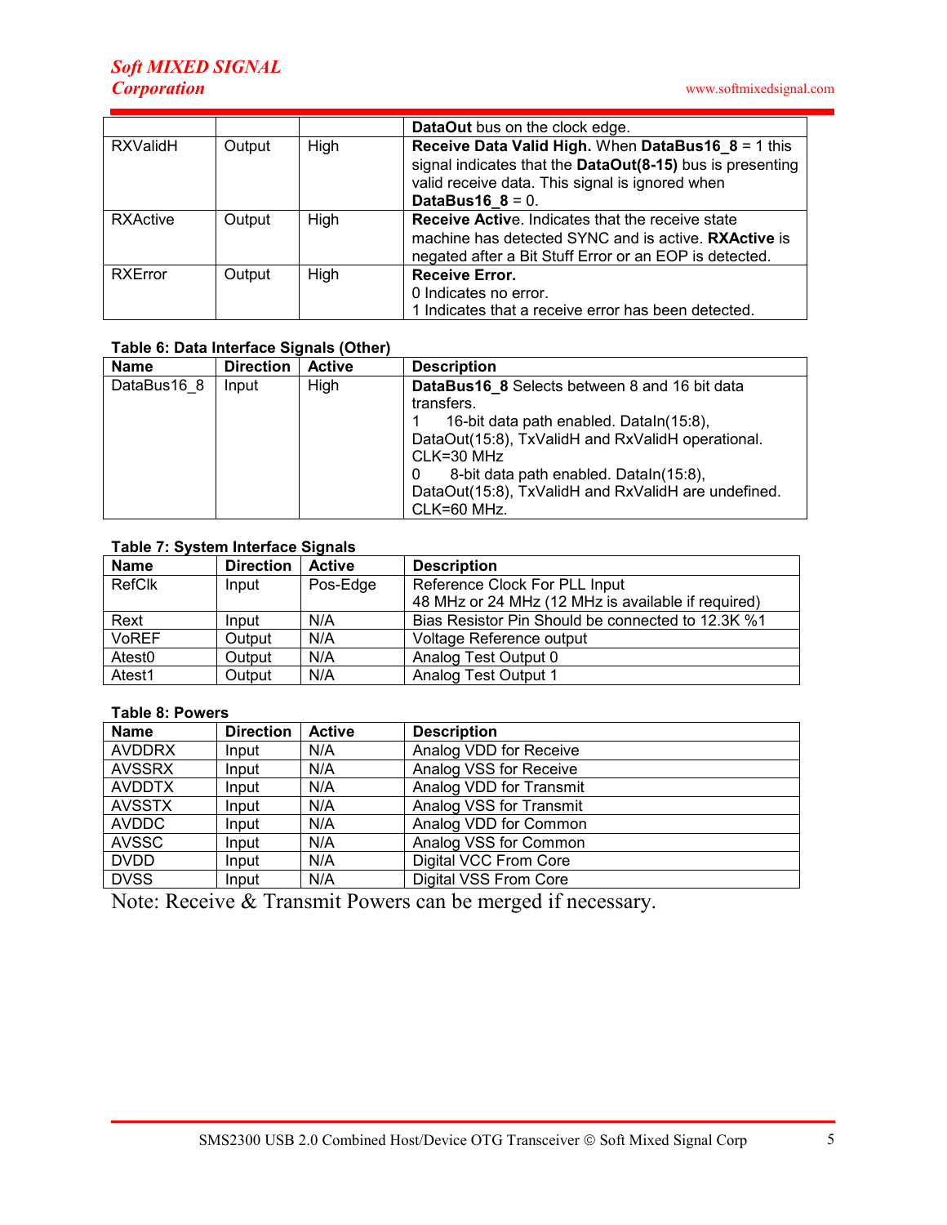|                 |        |      | DataOut bus on the clock edge.                                                                                                                                                                |
|-----------------|--------|------|-----------------------------------------------------------------------------------------------------------------------------------------------------------------------------------------------|
| <b>RXValidH</b> | Output | High | Receive Data Valid High. When DataBus16_8 = 1 this<br>signal indicates that the DataOut(8-15) bus is presenting<br>valid receive data. This signal is ignored when<br><b>DataBus16_8 = 0.</b> |
| <b>RXActive</b> | Output | High | <b>Receive Active.</b> Indicates that the receive state<br>machine has detected SYNC and is active. RXActive is<br>negated after a Bit Stuff Error or an EOP is detected.                     |
| <b>RXError</b>  | Output | High | <b>Receive Error.</b><br>0 Indicates no error.<br>1 Indicates that a receive error has been detected.                                                                                         |

#### Table 6: Data Interface Signals (Other)

| <b>Name</b> | <b>Direction</b> | <b>Active</b> | <b>Description</b>                                   |  |  |  |  |  |
|-------------|------------------|---------------|------------------------------------------------------|--|--|--|--|--|
| DataBus16 8 | Input            | High          | <b>DataBus16 8</b> Selects between 8 and 16 bit data |  |  |  |  |  |
|             |                  |               | transfers.                                           |  |  |  |  |  |
|             |                  |               | 16-bit data path enabled. Dataln(15:8),              |  |  |  |  |  |
|             |                  |               | DataOut(15:8), TxValidH and RxValidH operational.    |  |  |  |  |  |
|             |                  |               | CLK=30 MHz                                           |  |  |  |  |  |
|             |                  |               | 8-bit data path enabled. Dataln(15:8),               |  |  |  |  |  |
|             |                  |               | DataOut(15:8), TxValidH and RxValidH are undefined.  |  |  |  |  |  |
|             |                  |               | CLK=60 MHz.                                          |  |  |  |  |  |

## Table 7: System Interface Signals

| <b>Name</b>        | <b>Direction</b> | <b>Active</b> | <b>Description</b>                                 |  |  |  |
|--------------------|------------------|---------------|----------------------------------------------------|--|--|--|
| RefClk             | Input            | Pos-Edge      | Reference Clock For PLL Input                      |  |  |  |
|                    |                  |               | 48 MHz or 24 MHz (12 MHz is available if required) |  |  |  |
| Rext               | Input            | N/A           | Bias Resistor Pin Should be connected to 12.3K %1  |  |  |  |
| <b>VoREF</b>       | Output           | N/A           | Voltage Reference output                           |  |  |  |
| Atest <sub>0</sub> | Output           | N/A           | Analog Test Output 0                               |  |  |  |
| Atest <sub>1</sub> | Output           | N/A           | Analog Test Output 1                               |  |  |  |

#### Table 8: Powers

| <b>Name</b>   | <b>Direction</b> | <b>Active</b> | <b>Description</b>           |
|---------------|------------------|---------------|------------------------------|
| <b>AVDDRX</b> | Input            | N/A           | Analog VDD for Receive       |
| <b>AVSSRX</b> | Input            | N/A           | Analog VSS for Receive       |
| <b>AVDDTX</b> | Input            | N/A           | Analog VDD for Transmit      |
| <b>AVSSTX</b> | Input            | N/A           | Analog VSS for Transmit      |
| <b>AVDDC</b>  | Input            | N/A           | Analog VDD for Common        |
| <b>AVSSC</b>  | Input            | N/A           | Analog VSS for Common        |
| <b>DVDD</b>   | Input            | N/A           | Digital VCC From Core        |
| <b>DVSS</b>   | Input            | N/A           | <b>Digital VSS From Core</b> |

Note: Receive & Transmit Powers can be merged if necessary.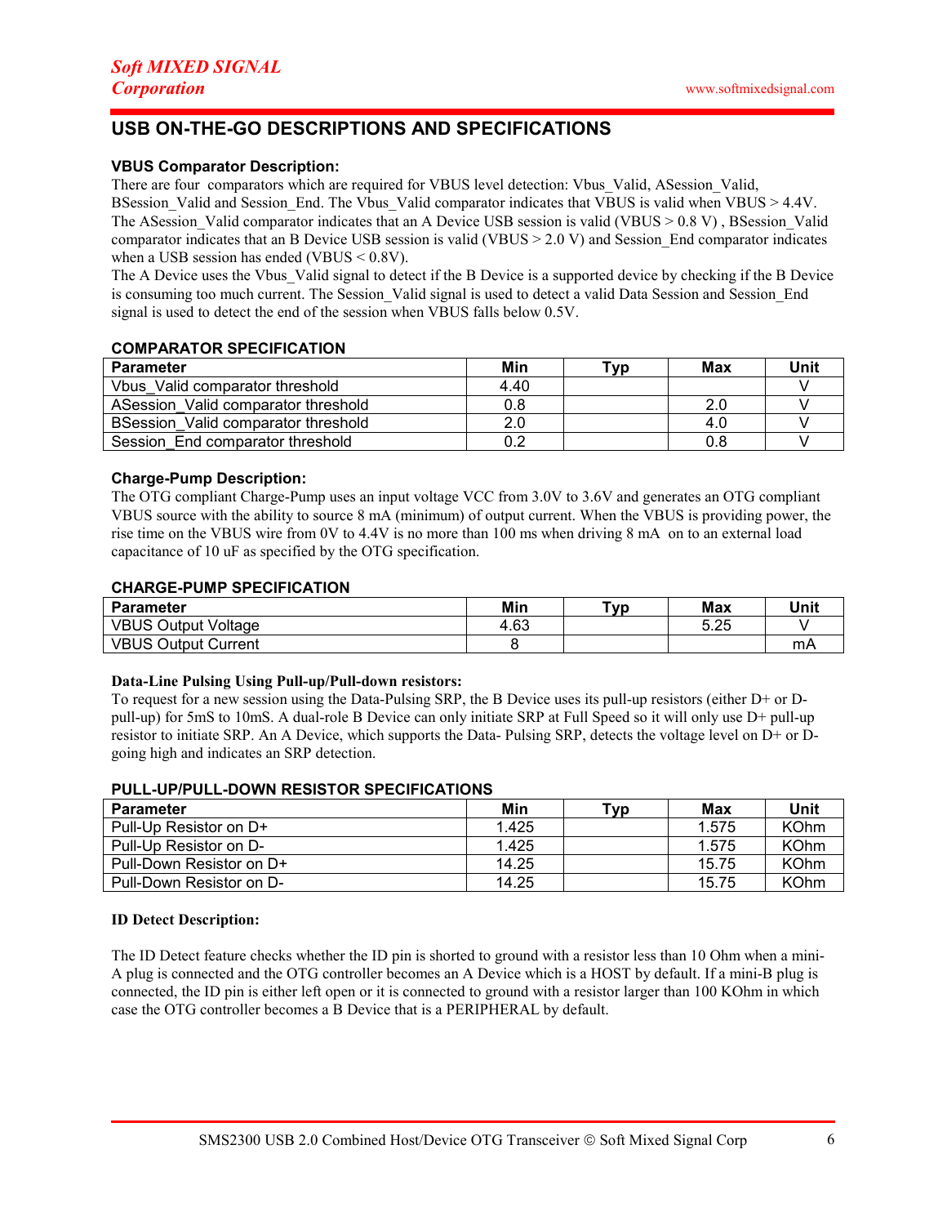# USB ON-THE-GO DESCRIPTIONS AND SPECIFICATIONS

#### VBUS Comparator Description:

There are four comparators which are required for VBUS level detection: Vbus\_Valid, ASession\_Valid, BSession\_Valid and Session\_End. The Vbus\_Valid comparator indicates that VBUS is valid when VBUS > 4.4V. The ASession Valid comparator indicates that an A Device USB session is valid (VBUS > 0.8 V), BSession Valid comparator indicates that an B Device USB session is valid (VBUS > 2.0 V) and Session\_End comparator indicates when a USB session has ended (VBUS <  $0.8V$ ).

The A Device uses the Vbus\_Valid signal to detect if the B Device is a supported device by checking if the B Device is consuming too much current. The Session Valid signal is used to detect a valid Data Session and Session End signal is used to detect the end of the session when VBUS falls below 0.5V.

### COMPARATOR SPECIFICATION

| <b>Parameter</b>                    | Min  | ™vp | Max | Unit |
|-------------------------------------|------|-----|-----|------|
| Vbus Valid comparator threshold     | 4.40 |     |     |      |
| ASession Valid comparator threshold | 0.8  |     |     |      |
| BSession Valid comparator threshold |      |     | 4.0 |      |
| Session End comparator threshold    |      |     | 0.8 |      |

#### Charge-Pump Description:

The OTG compliant Charge-Pump uses an input voltage VCC from 3.0V to 3.6V and generates an OTG compliant VBUS source with the ability to source 8 mA (minimum) of output current. When the VBUS is providing power, the rise time on the VBUS wire from 0V to 4.4V is no more than 100 ms when driving 8 mA on to an external load capacitance of 10 uF as specified by the OTG specification.

#### CHARGE-PUMP SPECIFICATION

| <b>Parameter</b>           | Min  | ▼ур | Max  | Unit |
|----------------------------|------|-----|------|------|
| <b>VBUS Output Voltage</b> | 4.63 |     | 5.25 |      |
| <b>VBUS Output Current</b> |      |     |      | mA   |

#### Data-Line Pulsing Using Pull-up/Pull-down resistors:

To request for a new session using the Data-Pulsing SRP, the B Device uses its pull-up resistors (either D+ or Dpull-up) for 5mS to 10mS. A dual-role B Device can only initiate SRP at Full Speed so it will only use D+ pull-up resistor to initiate SRP. An A Device, which supports the Data- Pulsing SRP, detects the voltage level on D+ or Dgoing high and indicates an SRP detection.

| <u>FULL-UF/FULL-DOMN RESISTOR SFECILIOATIONS</u> |       |     |       |             |  |
|--------------------------------------------------|-------|-----|-------|-------------|--|
| <b>Parameter</b>                                 | Min   | ™ур | Max   | Unit        |  |
| Pull-Up Resistor on D+                           | 1.425 |     | 1.575 | <b>KOhm</b> |  |
| Pull-Up Resistor on D-                           | 1.425 |     | 1.575 | <b>KOhm</b> |  |
| Pull-Down Resistor on D+                         | 14.25 |     | 15.75 | <b>KOhm</b> |  |
| Pull-Down Resistor on D-                         | 14.25 |     | 15.75 | <b>KOhm</b> |  |

# PULL-UP/PULL-DOWN RESISTOR SPECIFICATIONS

#### ID Detect Description:

The ID Detect feature checks whether the ID pin is shorted to ground with a resistor less than 10 Ohm when a mini-A plug is connected and the OTG controller becomes an A Device which is a HOST by default. If a mini-B plug is connected, the ID pin is either left open or it is connected to ground with a resistor larger than 100 KOhm in which case the OTG controller becomes a B Device that is a PERIPHERAL by default.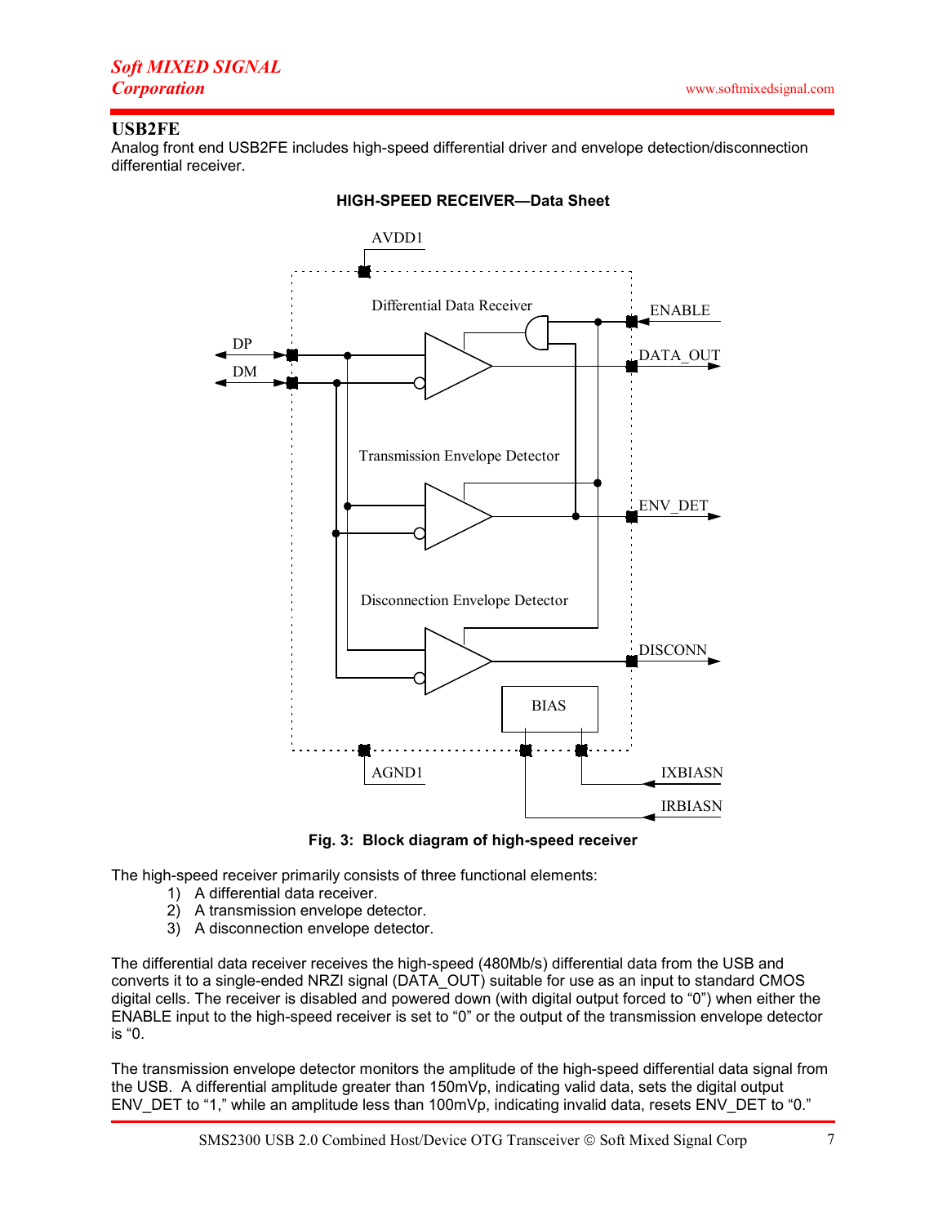## USB2FE

Analog front end USB2FE includes high-speed differential driver and envelope detection/disconnection differential receiver.



HIGH-SPEED RECEIVER—Data Sheet

Fig. 3: Block diagram of high-speed receiver

The high-speed receiver primarily consists of three functional elements:

- 1) A differential data receiver.
- 2) A transmission envelope detector.
- 3) A disconnection envelope detector.

The differential data receiver receives the high-speed (480Mb/s) differential data from the USB and converts it to a single-ended NRZI signal (DATA\_OUT) suitable for use as an input to standard CMOS digital cells. The receiver is disabled and powered down (with digital output forced to "0") when either the ENABLE input to the high-speed receiver is set to "0" or the output of the transmission envelope detector is "0.

The transmission envelope detector monitors the amplitude of the high-speed differential data signal from the USB. A differential amplitude greater than 150mVp, indicating valid data, sets the digital output ENV\_DET to "1," while an amplitude less than 100mVp, indicating invalid data, resets ENV\_DET to "0."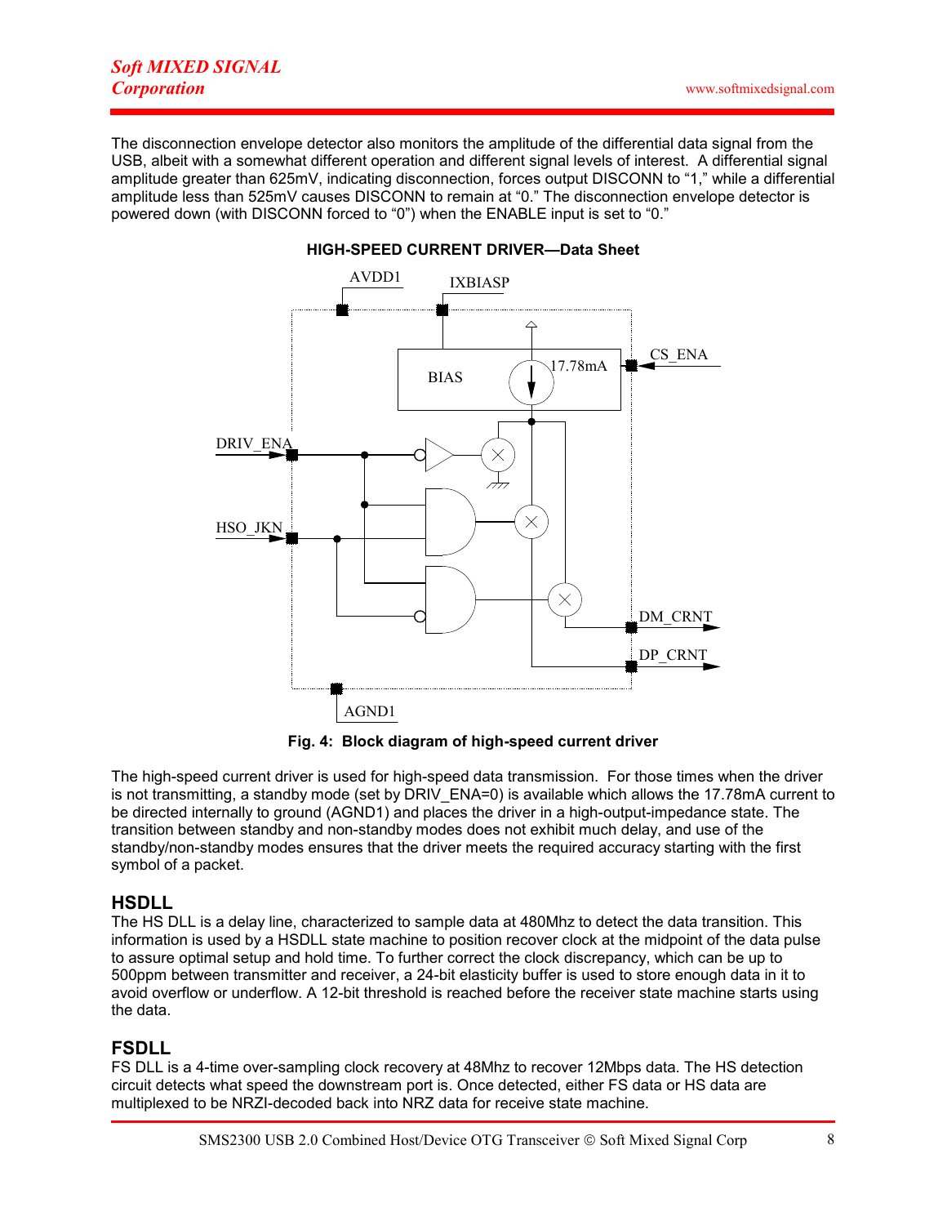The disconnection envelope detector also monitors the amplitude of the differential data signal from the USB, albeit with a somewhat different operation and different signal levels of interest. A differential signal amplitude greater than 625mV, indicating disconnection, forces output DISCONN to "1," while a differential amplitude less than 525mV causes DISCONN to remain at "0." The disconnection envelope detector is powered down (with DISCONN forced to "0") when the ENABLE input is set to "0."



#### HIGH-SPEED CURRENT DRIVER—Data Sheet

Fig. 4: Block diagram of high-speed current driver

The high-speed current driver is used for high-speed data transmission. For those times when the driver is not transmitting, a standby mode (set by  $\overline{DRIV}$   $\overline{ENA=0}$ ) is available which allows the 17.78mA current to be directed internally to ground (AGND1) and places the driver in a high-output-impedance state. The transition between standby and non-standby modes does not exhibit much delay, and use of the standby/non-standby modes ensures that the driver meets the required accuracy starting with the first symbol of a packet.

## **HSDLL**

The HS DLL is a delay line, characterized to sample data at 480Mhz to detect the data transition. This information is used by a HSDLL state machine to position recover clock at the midpoint of the data pulse to assure optimal setup and hold time. To further correct the clock discrepancy, which can be up to 500ppm between transmitter and receiver, a 24-bit elasticity buffer is used to store enough data in it to avoid overflow or underflow. A 12-bit threshold is reached before the receiver state machine starts using the data.

## FSDLL

FS DLL is a 4-time over-sampling clock recovery at 48Mhz to recover 12Mbps data. The HS detection circuit detects what speed the downstream port is. Once detected, either FS data or HS data are multiplexed to be NRZI-decoded back into NRZ data for receive state machine.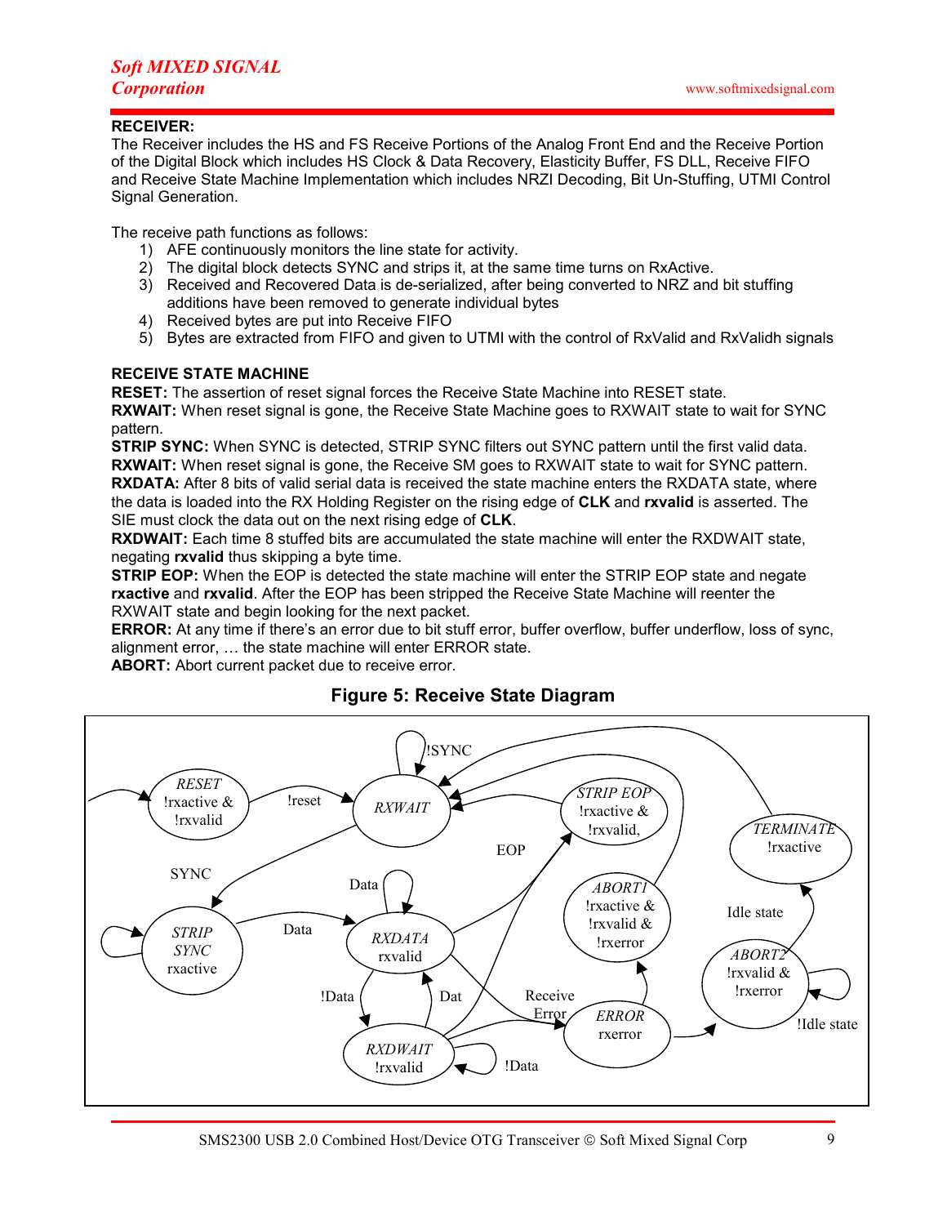#### RECEIVER:

The Receiver includes the HS and FS Receive Portions of the Analog Front End and the Receive Portion of the Digital Block which includes HS Clock & Data Recovery, Elasticity Buffer, FS DLL, Receive FIFO and Receive State Machine Implementation which includes NRZI Decoding, Bit Un-Stuffing, UTMI Control Signal Generation.

The receive path functions as follows:

- 1) AFE continuously monitors the line state for activity.
- 2) The digital block detects SYNC and strips it, at the same time turns on RxActive.
- 3) Received and Recovered Data is de-serialized, after being converted to NRZ and bit stuffing additions have been removed to generate individual bytes
- 4) Received bytes are put into Receive FIFO
- 5) Bytes are extracted from FIFO and given to UTMI with the control of RxValid and RxValidh signals

### RECEIVE STATE MACHINE

RESET: The assertion of reset signal forces the Receive State Machine into RESET state.

RXWAIT: When reset signal is gone, the Receive State Machine goes to RXWAIT state to wait for SYNC pattern.

STRIP SYNC: When SYNC is detected, STRIP SYNC filters out SYNC pattern until the first valid data. RXWAIT: When reset signal is gone, the Receive SM goes to RXWAIT state to wait for SYNC pattern. RXDATA: After 8 bits of valid serial data is received the state machine enters the RXDATA state, where the data is loaded into the RX Holding Register on the rising edge of CLK and rxvalid is asserted. The SIE must clock the data out on the next rising edge of **CLK**.

RXDWAIT: Each time 8 stuffed bits are accumulated the state machine will enter the RXDWAIT state, negating rxvalid thus skipping a byte time.

**STRIP EOP:** When the EOP is detected the state machine will enter the STRIP EOP state and negate rxactive and rxvalid. After the EOP has been stripped the Receive State Machine will reenter the RXWAIT state and begin looking for the next packet.

ERROR: At any time if there's an error due to bit stuff error, buffer overflow, buffer underflow, loss of sync, alignment error, … the state machine will enter ERROR state.

ABORT: Abort current packet due to receive error.



## Figure 5: Receive State Diagram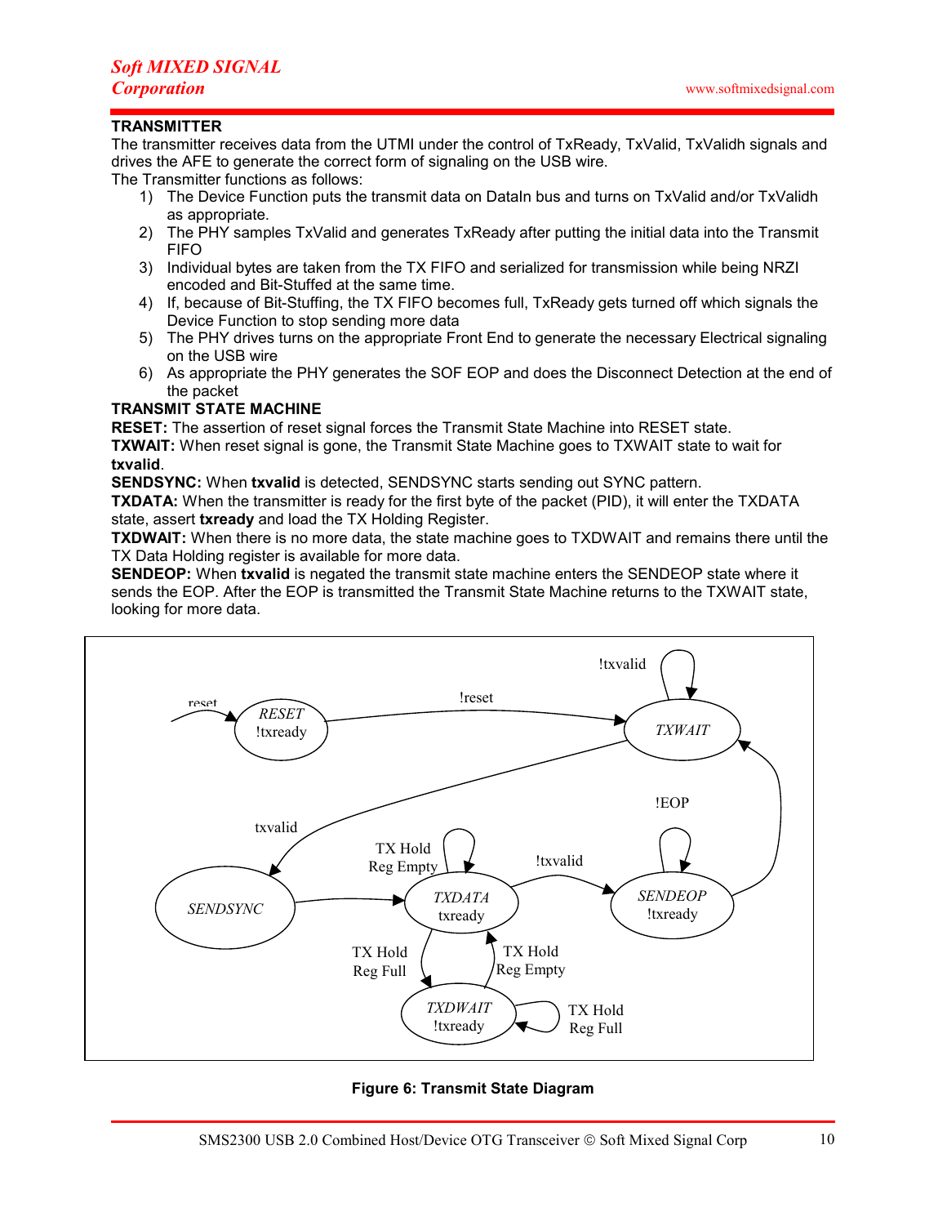### **TRANSMITTER**

The transmitter receives data from the UTMI under the control of TxReady, TxValid, TxValidh signals and drives the AFE to generate the correct form of signaling on the USB wire.

The Transmitter functions as follows:

- 1) The Device Function puts the transmit data on DataIn bus and turns on TxValid and/or TxValidh as appropriate.
- 2) The PHY samples TxValid and generates TxReady after putting the initial data into the Transmit FIFO
- 3) Individual bytes are taken from the TX FIFO and serialized for transmission while being NRZI encoded and Bit-Stuffed at the same time.
- 4) If, because of Bit-Stuffing, the TX FIFO becomes full, TxReady gets turned off which signals the Device Function to stop sending more data
- 5) The PHY drives turns on the appropriate Front End to generate the necessary Electrical signaling on the USB wire
- 6) As appropriate the PHY generates the SOF EOP and does the Disconnect Detection at the end of the packet

#### TRANSMIT STATE MACHINE

RESET: The assertion of reset signal forces the Transmit State Machine into RESET state.

TXWAIT: When reset signal is gone, the Transmit State Machine goes to TXWAIT state to wait for txvalid.

SENDSYNC: When txvalid is detected, SENDSYNC starts sending out SYNC pattern.

TXDATA: When the transmitter is ready for the first byte of the packet (PID), it will enter the TXDATA state, assert txready and load the TX Holding Register.

TXDWAIT: When there is no more data, the state machine goes to TXDWAIT and remains there until the TX Data Holding register is available for more data.

SENDEOP: When txvalid is negated the transmit state machine enters the SENDEOP state where it sends the EOP. After the EOP is transmitted the Transmit State Machine returns to the TXWAIT state, looking for more data.



#### Figure 6: Transmit State Diagram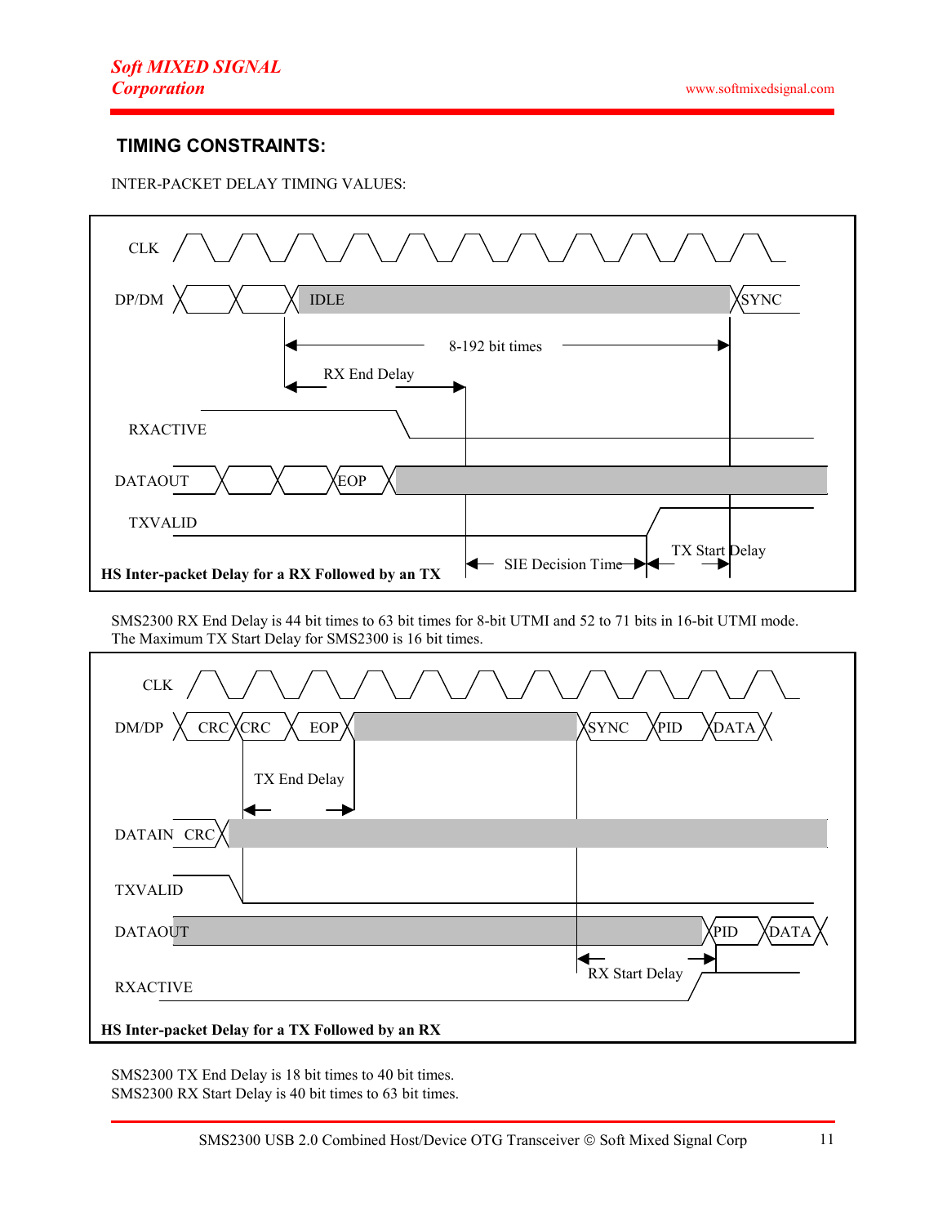# TIMING CONSTRAINTS:

INTER-PACKET DELAY TIMING VALUES:

| \/\/\/\/\/\/\/\/\/<br>$CLK$ /                    |                                      |  |  |  |
|--------------------------------------------------|--------------------------------------|--|--|--|
| $\mathbf{DP}/\mathbf{DM}$<br><b>IDLE</b>         | <b>SYNC</b>                          |  |  |  |
| 8-192 bit times<br>RX End Delay                  |                                      |  |  |  |
| <b>RXACTIVE</b>                                  |                                      |  |  |  |
| <b>EOP</b><br><b>DATAOUT</b>                     |                                      |  |  |  |
| <b>TXVALID</b>                                   |                                      |  |  |  |
| HS Inter-packet Delay for a RX Followed by an TX | TX Start Delay<br>SIE Decision Time- |  |  |  |

SMS2300 RX End Delay is 44 bit times to 63 bit times for 8-bit UTMI and 52 to 71 bits in 16-bit UTMI mode. The Maximum TX Start Delay for SMS2300 is 16 bit times.

| ${\rm CLK}$                                      |                               |  |  |  |
|--------------------------------------------------|-------------------------------|--|--|--|
| $CRC$ $X CRC$<br>EOP<br>${\rm DM}/\rm{DP}$       | XSYNC<br><b>XDATA</b><br>Xpid |  |  |  |
| TX End Delay                                     |                               |  |  |  |
| DATAIN CRC                                       |                               |  |  |  |
| <b>TXVALID</b>                                   |                               |  |  |  |
| <b>DATAOUT</b>                                   | PID)<br>DATA                  |  |  |  |
| <b>RXACTIVE</b>                                  | RX Start Delay                |  |  |  |
| HS Inter-packet Delay for a TX Followed by an RX |                               |  |  |  |

SMS2300 TX End Delay is 18 bit times to 40 bit times. SMS2300 RX Start Delay is 40 bit times to 63 bit times.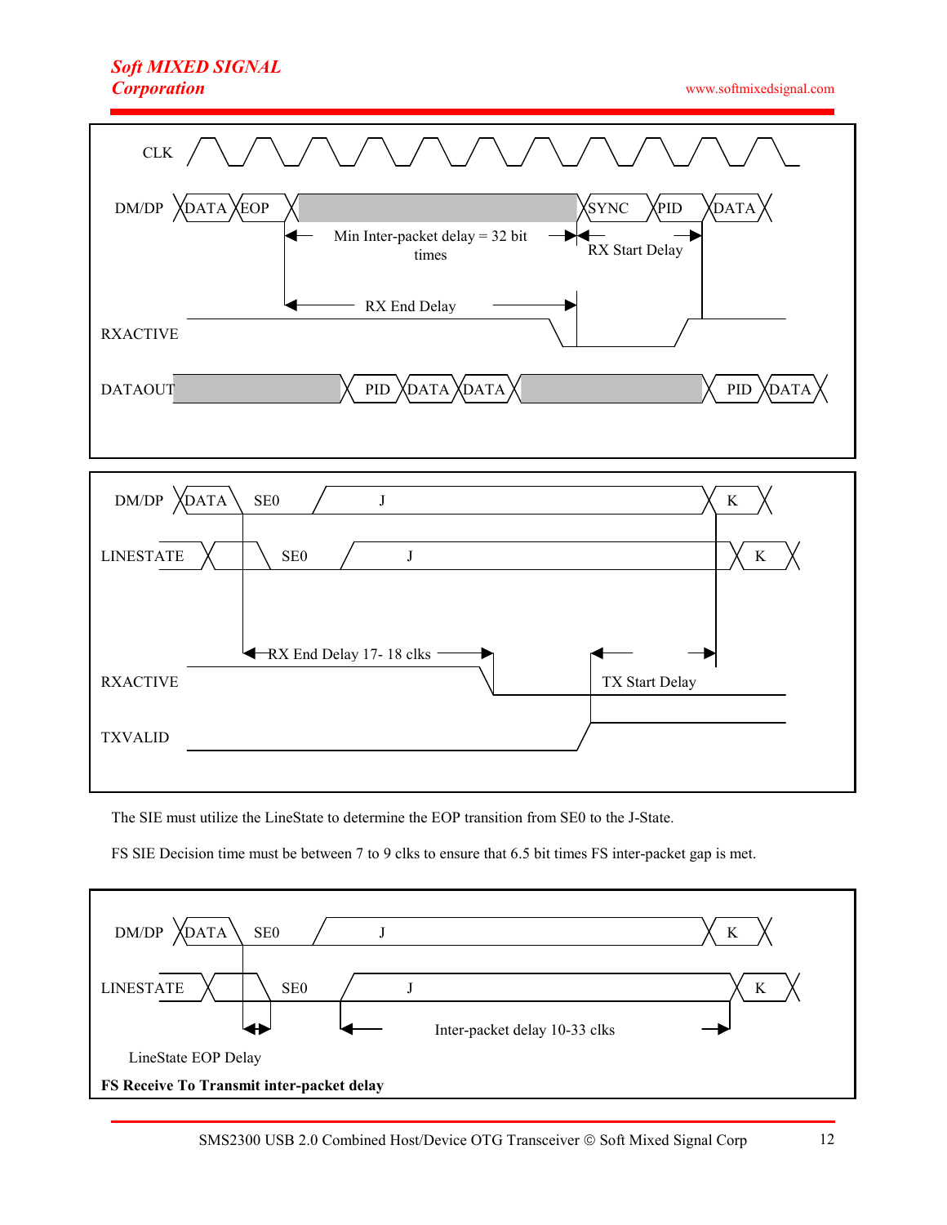# Soft MIXED SIGNAL **Corporation**

www.softmixedsignal.com





The SIE must utilize the LineState to determine the EOP transition from SE0 to the J-State.

FS SIE Decision time must be between 7 to 9 clks to ensure that 6.5 bit times FS inter-packet gap is met.